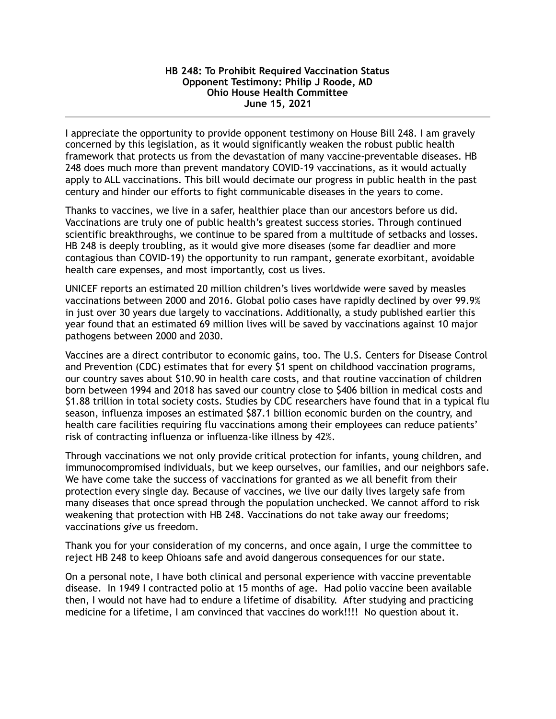## **HB 248: To Prohibit Required Vaccination Status Opponent Testimony: Philip J Roode, MD Ohio House Health Committee June 15, 2021**

I appreciate the opportunity to provide opponent testimony on House Bill 248. I am gravely concerned by this legislation, as it would significantly weaken the robust public health framework that protects us from the devastation of many vaccine-preventable diseases. HB 248 does much more than prevent mandatory COVID-19 vaccinations, as it would actually apply to ALL vaccinations. This bill would decimate our progress in public health in the past century and hinder our efforts to fight communicable diseases in the years to come.

Thanks to vaccines, we live in a safer, healthier place than our ancestors before us did. Vaccinations are truly one of public health's greatest success stories. Through continued scientific breakthroughs, we continue to be spared from a multitude of setbacks and losses. HB 248 is deeply troubling, as it would give more diseases (some far deadlier and more contagious than COVID-19) the opportunity to run rampant, generate exorbitant, avoidable health care expenses, and most importantly, cost us lives.

UNICEF reports an estimated 20 million children's lives worldwide were saved by measles vaccinations between 2000 and 2016. Global polio cases have rapidly declined by over 99.9% in just over 30 years due largely to vaccinations. Additionally, a study published earlier this year found that an estimated 69 million lives will be saved by vaccinations against 10 major pathogens between 2000 and 2030.

Vaccines are a direct contributor to economic gains, too. The U.S. Centers for Disease Control and Prevention (CDC) estimates that for every \$1 spent on childhood vaccination programs, our country saves about \$10.90 in health care costs, and that routine vaccination of children born between 1994 and 2018 has saved our country close to \$406 billion in medical costs and \$1.88 trillion in total society costs. Studies by CDC researchers have found that in a typical flu season, influenza imposes an estimated \$87.1 billion economic burden on the country, and health care facilities requiring flu vaccinations among their employees can reduce patients' risk of contracting influenza or influenza-like illness by 42%.

Through vaccinations we not only provide critical protection for infants, young children, and immunocompromised individuals, but we keep ourselves, our families, and our neighbors safe. We have come take the success of vaccinations for granted as we all benefit from their protection every single day. Because of vaccines, we live our daily lives largely safe from many diseases that once spread through the population unchecked. We cannot afford to risk weakening that protection with HB 248. Vaccinations do not take away our freedoms; vaccinations *give* us freedom.

Thank you for your consideration of my concerns, and once again, I urge the committee to reject HB 248 to keep Ohioans safe and avoid dangerous consequences for our state.

On a personal note, I have both clinical and personal experience with vaccine preventable disease. In 1949 I contracted polio at 15 months of age. Had polio vaccine been available then, I would not have had to endure a lifetime of disability. After studying and practicing medicine for a lifetime, I am convinced that vaccines do work!!!! No question about it.